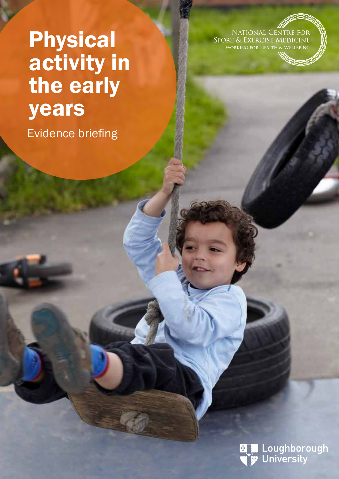# Physical activity in the early years

Evidence briefing

NATIONAL CENTRE FOR<br>SPORT & EXERCISE MEDICINE<br>WORKING FOR HEALTH & WELLBEING

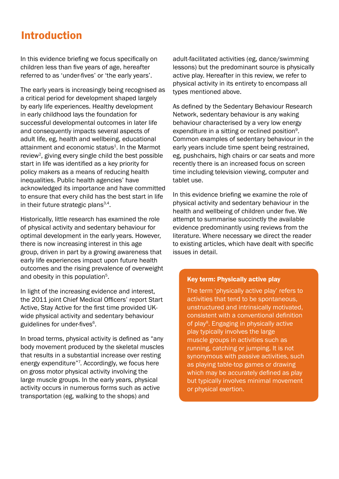#### Introduction

In this evidence briefing we focus specifically on children less than five years of age, hereafter referred to as 'under-fives' or 'the early years'.

The early years is increasingly being recognised as a critical period for development shaped largely by early life experiences. Healthy development in early childhood lays the foundation for successful developmental outcomes in later life and consequently impacts several aspects of adult life, eg, health and wellbeing, educational attainment and economic status $1$ . In the Marmot review<sup>2</sup>, giving every single child the best possible start in life was identified as a key priority for policy makers as a means of reducing health inequalities. Public health agencies' have acknowledged its importance and have committed to ensure that every child has the best start in life in their future strategic plans $3,4$ .

Historically, little research has examined the role of physical activity and sedentary behaviour for optimal development in the early years. However, there is now increasing interest in this age group, driven in part by a growing awareness that early life experiences impact upon future health outcomes and the rising prevalence of overweight and obesity in this population<sup>5</sup>.

In light of the increasing evidence and interest, the 2011 joint Chief Medical Officers' report Start Active, Stay Active for the first time provided UKwide physical activity and sedentary behaviour guidelines for under-fives<sup>6</sup>.

In broad terms, physical activity is defined as "any body movement produced by the skeletal muscles that results in a substantial increase over resting energy expenditure"<sup>7</sup> . Accordingly, we focus here on gross motor physical activity involving the large muscle groups. In the early years, physical activity occurs in numerous forms such as active transportation (eg, walking to the shops) and

adult-facilitated activities (eg, dance/swimming lessons) but the predominant source is physically active play. Hereafter in this review, we refer to physical activity in its entirety to encompass all types mentioned above.

As defined by the Sedentary Behaviour Research Network, sedentary behaviour is any waking behaviour characterised by a very low energy expenditure in a sitting or reclined position<sup>9</sup>. Common examples of sedentary behaviour in the early years include time spent being restrained, eg, pushchairs, high chairs or car seats and more recently there is an increased focus on screen time including television viewing, computer and tablet use.

In this evidence briefing we examine the role of physical activity and sedentary behaviour in the health and wellbeing of children under five. We attempt to summarise succinctly the available evidence predominantly using reviews from the literature. Where necessary we direct the reader to existing articles, which have dealt with specific issues in detail.

#### Key term: Physically active play

The term 'physically active play' refers to activities that tend to be spontaneous, unstructured and intrinsically motivated, consistent with a conventional definition of play<sup>8</sup>. Engaging in physically active play typically involves the large muscle groups in activities such as running, catching or jumping. It is not synonymous with passive activities, such as playing table-top games or drawing which may be accurately defined as play but typically involves minimal movement or physical exertion.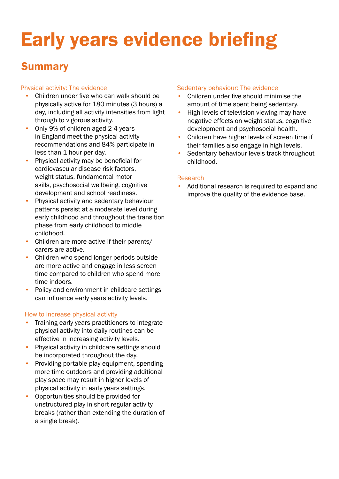# Early years evidence briefing

### **Summary**

#### Physical activity: The evidence

- Children under five who can walk should be physically active for 180 minutes (3 hours) a day, including all activity intensities from light through to vigorous activity.
- Only 9% of children aged 2-4 years in England meet the physical activity recommendations and 84% participate in less than 1 hour per day.
- Physical activity may be beneficial for cardiovascular disease risk factors, weight status, fundamental motor skills, psychosocial wellbeing, cognitive development and school readiness.
- Physical activity and sedentary behaviour patterns persist at a moderate level during early childhood and throughout the transition phase from early childhood to middle childhood.
- Children are more active if their parents/ carers are active.
- Children who spend longer periods outside are more active and engage in less screen time compared to children who spend more time indoors.
- Policy and environment in childcare settings can influence early years activity levels.

#### How to increase physical activity

- Training early years practitioners to integrate physical activity into daily routines can be effective in increasing activity levels.
- Physical activity in childcare settings should be incorporated throughout the day.
- Providing portable play equipment, spending more time outdoors and providing additional play space may result in higher levels of physical activity in early years settings.
- Opportunities should be provided for unstructured play in short regular activity breaks (rather than extending the duration of a single break).

#### Sedentary behaviour: The evidence

- Children under five should minimise the amount of time spent being sedentary.
- High levels of television viewing may have negative effects on weight status, cognitive development and psychosocial health.
- Children have higher levels of screen time if their families also engage in high levels.
- Sedentary behaviour levels track throughout childhood.

#### Research

• Additional research is required to expand and improve the quality of the evidence base.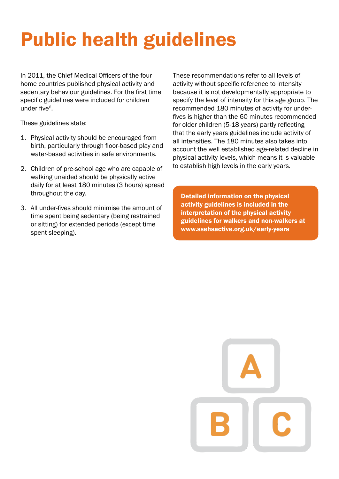# Public health guidelines

In 2011, the Chief Medical Officers of the four home countries published physical activity and sedentary behaviour guidelines. For the first time specific guidelines were included for children under five<sup>6</sup>.

These guidelines state:

- 1. Physical activity should be encouraged from birth, particularly through floor-based play and water-based activities in safe environments.
- 2. Children of pre-school age who are capable of walking unaided should be physically active daily for at least 180 minutes (3 hours) spread throughout the day.
- 3. All under-fives should minimise the amount of time spent being sedentary (being restrained or sitting) for extended periods (except time spent sleeping).

These recommendations refer to all levels of activity without specific reference to intensity because it is not developmentally appropriate to specify the level of intensity for this age group. The recommended 180 minutes of activity for underfives is higher than the 60 minutes recommended for older children (5-18 years) partly reflecting that the early years guidelines include activity of all intensities. The 180 minutes also takes into account the well established age-related decline in physical activity levels, which means it is valuable to establish high levels in the early years.

Detailed information on the physical activity guidelines is included in the interpretation of the physical activity guidelines for walkers and non-walkers at www.ssehsactive.org.uk/early-years

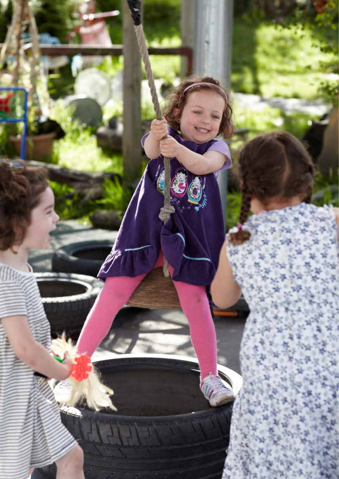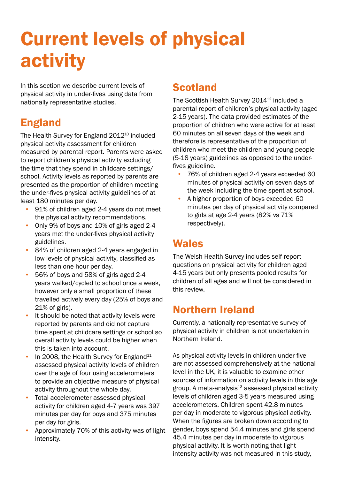## Current levels of physical activity

In this section we describe current levels of physical activity in under-fives using data from nationally representative studies.

### England

The Health Survey for England 2012<sup>10</sup> included physical activity assessment for children measured by parental report. Parents were asked to report children's physical activity excluding the time that they spend in childcare settings/ school. Activity levels as reported by parents are presented as the proportion of children meeting the under-fives physical activity guidelines of at least 180 minutes per day.

- 91% of children aged 2-4 years do not meet the physical activity recommendations.
- Only 9% of boys and 10% of girls aged 2-4 years met the under-fives physical activity guidelines.
- 84% of children aged 2-4 years engaged in low levels of physical activity, classified as less than one hour per day.
- 56% of boys and 58% of girls aged 2-4 years walked/cycled to school once a week, however only a small proportion of these travelled actively every day (25% of boys and 21% of girls).
- It should be noted that activity levels were reported by parents and did not capture time spent at childcare settings or school so overall activity levels could be higher when this is taken into account.
- $\cdot$  In 2008, the Health Survey for England<sup>11</sup> assessed physical activity levels of children over the age of four using accelerometers to provide an objective measure of physical activity throughout the whole day.
- Total accelerometer assessed physical activity for children aged 4-7 years was 397 minutes per day for boys and 375 minutes per day for girls.
- Approximately 70% of this activity was of light intensity.

#### **Scotland**

The Scottish Health Survey 2014<sup>12</sup> included a parental report of children's physical activity (aged 2-15 years). The data provided estimates of the proportion of children who were active for at least 60 minutes on all seven days of the week and therefore is representative of the proportion of children who meet the children and young people (5-18 years) guidelines as opposed to the underfives guideline.

- 76% of children aged 2-4 years exceeded 60 minutes of physical activity on seven days of the week including the time spent at school.
- A higher proportion of boys exceeded 60 minutes per day of physical activity compared to girls at age 2-4 years (82% vs 71% respectively).

### Wales

The Welsh Health Survey includes self-report questions on physical activity for children aged 4-15 years but only presents pooled results for children of all ages and will not be considered in this review.

#### Northern Ireland

Currently, a nationally representative survey of physical activity in children is not undertaken in Northern Ireland.

As physical activity levels in children under five are not assessed comprehensively at the national level in the UK, it is valuable to examine other sources of information on activity levels in this age group. A meta-analysis $13$  assessed physical activity levels of children aged 3-5 years measured using accelerometers. Children spent 42.8 minutes per day in moderate to vigorous physical activity. When the figures are broken down according to gender, boys spend 54.4 minutes and girls spend 45.4 minutes per day in moderate to vigorous physical activity. It is worth noting that light intensity activity was not measured in this study,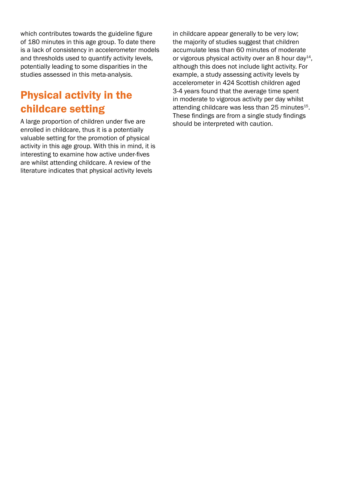which contributes towards the guideline figure of 180 minutes in this age group. To date there is a lack of consistency in accelerometer models and thresholds used to quantify activity levels, potentially leading to some disparities in the studies assessed in this meta-analysis.

### Physical activity in the childcare setting

A large proportion of children under five are enrolled in childcare, thus it is a potentially valuable setting for the promotion of physical activity in this age group. With this in mind, it is interesting to examine how active under-fives are whilst attending childcare. A review of the literature indicates that physical activity levels

in childcare appear generally to be very low; the majority of studies suggest that children accumulate less than 60 minutes of moderate or vigorous physical activity over an 8 hour day<sup>14</sup>, although this does not include light activity. For example, a study assessing activity levels by accelerometer in 424 Scottish children aged 3-4 years found that the average time spent in moderate to vigorous activity per day whilst attending childcare was less than  $25$  minutes<sup>15</sup>. These findings are from a single study findings should be interpreted with caution.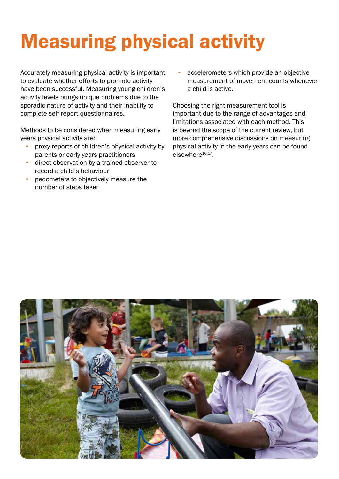# Measuring physical activity

Accurately measuring physical activity is important to evaluate whether efforts to promote activity have been successful. Measuring young children's activity levels brings unique problems due to the sporadic nature of activity and their inability to complete self report questionnaires.

Methods to be considered when measuring early years physical activity are:

- proxy-reports of children's physical activity by parents or early years practitioners
- direct observation by a trained observer to record a child's behaviour
- pedometers to objectively measure the number of steps taken

accelerometers which provide an objective measurement of movement counts whenever a child is active.

Choosing the right measurement tool is important due to the range of advantages and limitations associated with each method. This is beyond the scope of the current review, but more comprehensive discussions on measuring physical activity in the early years can be found  $e$ lsewhere $^{16,17}$ .

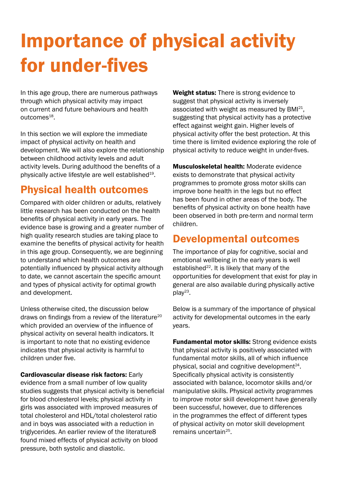# Importance of physical activity for under-fives

In this age group, there are numerous pathways through which physical activity may impact on current and future behaviours and health outcomes<sup>18</sup>.

In this section we will explore the immediate impact of physical activity on health and development. We will also explore the relationship between childhood activity levels and adult activity levels. During adulthood the benefits of a physically active lifestyle are well established<sup>19</sup>.

### Physical health outcomes

Compared with older children or adults, relatively little research has been conducted on the health benefits of physical activity in early years. The evidence base is growing and a greater number of high quality research studies are taking place to examine the benefits of physical activity for health in this age group. Consequently, we are beginning to understand which health outcomes are potentially influenced by physical activity although to date, we cannot ascertain the specific amount and types of physical activity for optimal growth and development.

Unless otherwise cited, the discussion below draws on findings from a review of the literature<sup>20</sup> which provided an overview of the influence of physical activity on several health indicators. It is important to note that no existing evidence indicates that physical activity is harmful to children under five.

Cardiovascular disease risk factors: Early evidence from a small number of low quality studies suggests that physical activity is beneficial for blood cholesterol levels; physical activity in girls was associated with improved measures of total cholesterol and HDL/total cholesterol ratio and in boys was associated with a reduction in triglycerides. An earlier review of the literature8 found mixed effects of physical activity on blood pressure, both systolic and diastolic.

Weight status: There is strong evidence to suggest that physical activity is inversely associated with weight as measured by BMI<sup>21</sup>. suggesting that physical activity has a protective effect against weight gain. Higher levels of physical activity offer the best protection. At this time there is limited evidence exploring the role of physical activity to reduce weight in under-fives.

Musculoskeletal health: Moderate evidence exists to demonstrate that physical activity programmes to promote gross motor skills can improve bone health in the legs but no effect has been found in other areas of the body. The benefits of physical activity on bone health have been observed in both pre-term and normal term children.

#### Developmental outcomes

The importance of play for cognitive, social and emotional wellbeing in the early years is well established $^{22}$ . It is likely that many of the opportunities for development that exist for play in general are also available during physically active  $play<sup>23</sup>$ .

Below is a summary of the importance of physical activity for developmental outcomes in the early years.

**Fundamental motor skills:** Strong evidence exists that physical activity is positively associated with fundamental motor skills, all of which influence physical, social and cognitive development $24$ . Specifically physical activity is consistently associated with balance, locomotor skills and/or manipulative skills. Physical activity programmes to improve motor skill development have generally been successful, however, due to differences in the programmes the effect of different types of physical activity on motor skill development remains uncertain<sup>25</sup>.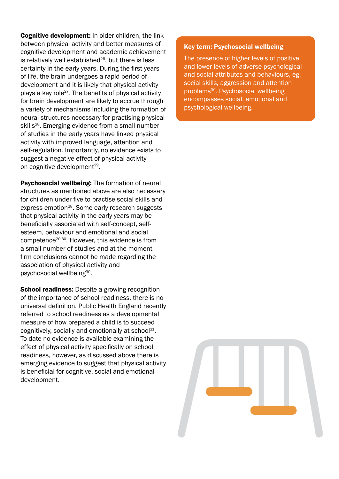Cognitive development: In older children, the link between physical activity and better measures of cognitive development and academic achievement is relatively well established $26$ , but there is less certainty in the early years. During the first years of life, the brain undergoes a rapid period of development and it is likely that physical activity plays a key role<sup>27</sup>. The benefits of physical activity for brain development are likely to accrue through a variety of mechanisms including the formation of neural structures necessary for practising physical skills<sup>28</sup>. Emerging evidence from a small number of studies in the early years have linked physical activity with improved language, attention and self-regulation. Importantly, no evidence exists to suggest a negative effect of physical activity on cognitive development<sup>29</sup>.

Psychosocial wellbeing: The formation of neural structures as mentioned above are also necessary for children under five to practise social skills and express emotion<sup>28</sup>. Some early research suggests that physical activity in the early years may be beneficially associated with self-concept, selfesteem, behaviour and emotional and social competence<sup>20,30</sup>. However, this evidence is from a small number of studies and at the moment firm conclusions cannot be made regarding the association of physical activity and psychosocial wellbeing<sup>30</sup>.

**School readiness:** Despite a growing recognition of the importance of school readiness, there is no universal definition. Public Health England recently referred to school readiness as a developmental measure of how prepared a child is to succeed cognitively, socially and emotionally at school<sup>31</sup>. To date no evidence is available examining the effect of physical activity specifically on school readiness, however, as discussed above there is emerging evidence to suggest that physical activity is beneficial for cognitive, social and emotional development.

#### Key term: Psychosocial wellbeing

The presence of higher levels of positive and lower levels of adverse psychological and social attributes and behaviours, eg, social skills, aggression and attention problems<sup>30</sup>. Psychosocial wellbeing encompasses social, emotional and psychological wellbeing.

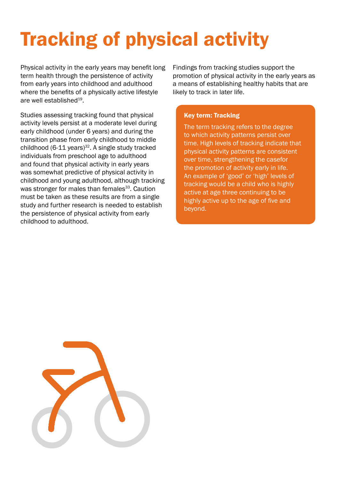# Tracking of physical activity

Physical activity in the early years may benefit long term health through the persistence of activity from early years into childhood and adulthood where the benefits of a physically active lifestyle are well established $19$ .

Studies assessing tracking found that physical activity levels persist at a moderate level during early childhood (under 6 years) and during the transition phase from early childhood to middle childhood  $(6-11 \text{ years})^{32}$ . A single study tracked individuals from preschool age to adulthood and found that physical activity in early years was somewhat predictive of physical activity in childhood and young adulthood, although tracking was stronger for males than females<sup>33</sup>. Caution must be taken as these results are from a single study and further research is needed to establish the persistence of physical activity from early childhood to adulthood.

Findings from tracking studies support the promotion of physical activity in the early years as a means of establishing healthy habits that are likely to track in later life.

#### Key term: Tracking

The term tracking refers to the degree to which activity patterns persist over time. High levels of tracking indicate that physical activity patterns are consistent over time, strengthening the casefor the promotion of activity early in life. An example of 'good' or 'high' levels of tracking would be a child who is highly active at age three continuing to be highly active up to the age of five and beyond.

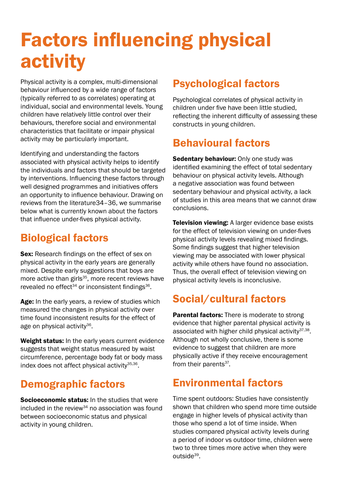## Factors influencing physical activity

Physical activity is a complex, multi-dimensional behaviour influenced by a wide range of factors (typically referred to as correlates) operating at individual, social and environmental levels. Young children have relatively little control over their behaviours, therefore social and environmental characteristics that facilitate or impair physical activity may be particularly important.

Identifying and understanding the factors associated with physical activity helps to identify the individuals and factors that should be targeted by interventions. Influencing these factors through well designed programmes and initiatives offers an opportunity to influence behaviour. Drawing on reviews from the literature34–36, we summarise below what is currently known about the factors that influence under-fives physical activity.

### Biological factors

Sex: Research findings on the effect of sex on physical activity in the early years are generally mixed. Despite early suggestions that boys are more active than girls<sup>35</sup>, more recent reviews have revealed no effect $34$  or inconsistent findings $36$ .

Age: In the early years, a review of studies which measured the changes in physical activity over time found inconsistent results for the effect of age on physical activity<sup>36</sup>.

Weight status: In the early years current evidence suggests that weight status measured by waist circumference, percentage body fat or body mass index does not affect physical activity $35,36$ .

#### Demographic factors

Socioeconomic status: In the studies that were included in the review $34$  no association was found between socioeconomic status and physical activity in young children.

### Psychological factors

Psychological correlates of physical activity in children under five have been little studied, reflecting the inherent difficulty of assessing these constructs in young children.

#### Behavioural factors

**Sedentary behaviour: Only one study was** identified examining the effect of total sedentary behaviour on physical activity levels. Although a negative association was found between sedentary behaviour and physical activity, a lack of studies in this area means that we cannot draw conclusions.

**Television viewing:** A larger evidence base exists for the effect of television viewing on under-fives physical activity levels revealing mixed findings. Some findings suggest that higher television viewing may be associated with lower physical activity while others have found no association. Thus, the overall effect of television viewing on physical activity levels is inconclusive.

### Social/cultural factors

**Parental factors:** There is moderate to strong evidence that higher parental physical activity is associated with higher child physical activity<sup>37,38</sup>. Although not wholly conclusive, there is some evidence to suggest that children are more physically active if they receive encouragement from their parents<sup>37</sup>.

#### Environmental factors

Time spent outdoors: Studies have consistently shown that children who spend more time outside engage in higher levels of physical activity than those who spend a lot of time inside. When studies compared physical activity levels during a period of indoor vs outdoor time, children were two to three times more active when they were outside<sup>39</sup>.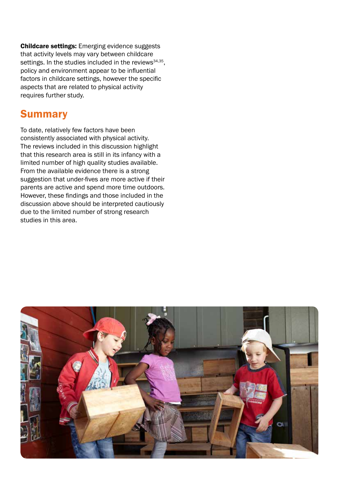Childcare settings: Emerging evidence suggests that activity levels may vary between childcare settings. In the studies included in the reviews<sup>34,35</sup>, policy and environment appear to be influential factors in childcare settings, however the specific aspects that are related to physical activity requires further study.

#### Summary

To date, relatively few factors have been consistently associated with physical activity. The reviews included in this discussion highlight that this research area is still in its infancy with a limited number of high quality studies available. From the available evidence there is a strong suggestion that under-fives are more active if their parents are active and spend more time outdoors. However, these findings and those included in the discussion above should be interpreted cautiously due to the limited number of strong research studies in this area.

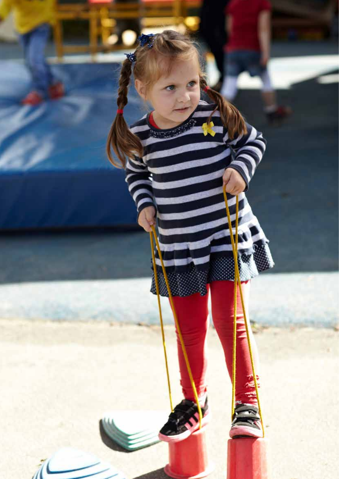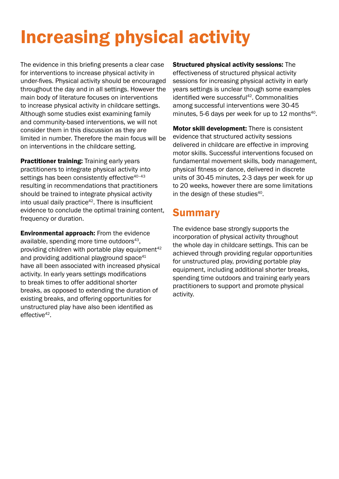## Increasing physical activity

The evidence in this briefing presents a clear case for interventions to increase physical activity in under-fives. Physical activity should be encouraged throughout the day and in all settings. However the main body of literature focuses on interventions to increase physical activity in childcare settings. Although some studies exist examining family and community-based interventions, we will not consider them in this discussion as they are limited in number. Therefore the main focus will be on interventions in the childcare setting.

**Practitioner training: Training early years** practitioners to integrate physical activity into settings has been consistently effective<sup>40-43</sup> resulting in recommendations that practitioners should be trained to integrate physical activity into usual daily practice<sup>42</sup>. There is insufficient evidence to conclude the optimal training content, frequency or duration.

Environmental approach: From the evidence available, spending more time outdoors<sup>43</sup>, providing children with portable play equipment<sup>42</sup> and providing additional playground space<sup>41</sup> have all been associated with increased physical activity. In early years settings modifications to break times to offer additional shorter breaks, as opposed to extending the duration of existing breaks, and offering opportunities for unstructured play have also been identified as effective<sup>42</sup>.

Structured physical activity sessions: The effectiveness of structured physical activity sessions for increasing physical activity in early years settings is unclear though some examples identified were successful<sup>42</sup>. Commonalities among successful interventions were 30-45 minutes, 5-6 days per week for up to 12 months $40$ .

Motor skill development: There is consistent evidence that structured activity sessions delivered in childcare are effective in improving motor skills. Successful interventions focused on fundamental movement skills, body management, physical fitness or dance, delivered in discrete units of 30-45 minutes, 2-3 days per week for up to 20 weeks, however there are some limitations in the design of these studies $40$ .

#### Summary

The evidence base strongly supports the incorporation of physical activity throughout the whole day in childcare settings. This can be achieved through providing regular opportunities for unstructured play, providing portable play equipment, including additional shorter breaks, spending time outdoors and training early years practitioners to support and promote physical activity.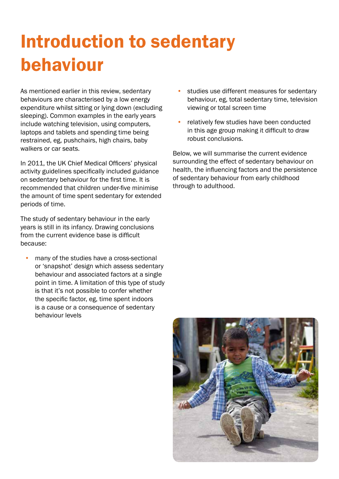## Introduction to sedentary behaviour

As mentioned earlier in this review, sedentary behaviours are characterised by a low energy expenditure whilst sitting or lying down (excluding sleeping). Common examples in the early years include watching television, using computers, laptops and tablets and spending time being restrained, eg, pushchairs, high chairs, baby walkers or car seats.

In 2011, the UK Chief Medical Officers' physical activity guidelines specifically included guidance on sedentary behaviour for the first time. It is recommended that children under-five minimise the amount of time spent sedentary for extended periods of time.

The study of sedentary behaviour in the early years is still in its infancy. Drawing conclusions from the current evidence base is difficult because:

many of the studies have a cross-sectional or 'snapshot' design which assess sedentary behaviour and associated factors at a single point in time. A limitation of this type of study is that it's not possible to confer whether the specific factor, eg, time spent indoors is a cause or a consequence of sedentary behaviour levels

- studies use different measures for sedentary behaviour, eg, total sedentary time, television viewing or total screen time
- relatively few studies have been conducted in this age group making it difficult to draw robust conclusions.

Below, we will summarise the current evidence surrounding the effect of sedentary behaviour on health, the influencing factors and the persistence of sedentary behaviour from early childhood through to adulthood.

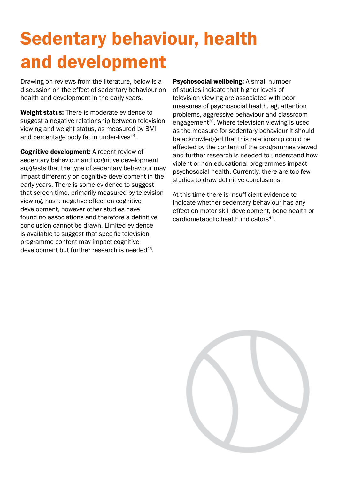## Sedentary behaviour, health and development

Drawing on reviews from the literature, below is a discussion on the effect of sedentary behaviour on health and development in the early years.

Weight status: There is moderate evidence to suggest a negative relationship between television viewing and weight status, as measured by BMI and percentage body fat in under-fives<sup>44</sup>.

Cognitive development: A recent review of sedentary behaviour and cognitive development suggests that the type of sedentary behaviour may impact differently on cognitive development in the early years. There is some evidence to suggest that screen time, primarily measured by television viewing, has a negative effect on cognitive development, however other studies have found no associations and therefore a definitive conclusion cannot be drawn. Limited evidence is available to suggest that specific television programme content may impact cognitive development but further research is needed<sup>45</sup>.

**Psychosocial wellbeing: A small number** of studies indicate that higher levels of television viewing are associated with poor measures of psychosocial health, eg, attention problems, aggressive behaviour and classroom engagement<sup>30</sup>. Where television viewing is used as the measure for sedentary behaviour it should be acknowledged that this relationship could be affected by the content of the programmes viewed and further research is needed to understand how violent or non-educational programmes impact psychosocial health. Currently, there are too few studies to draw definitive conclusions.

At this time there is insufficient evidence to indicate whether sedentary behaviour has any effect on motor skill development, bone health or cardiometabolic health indicators<sup>44</sup>.

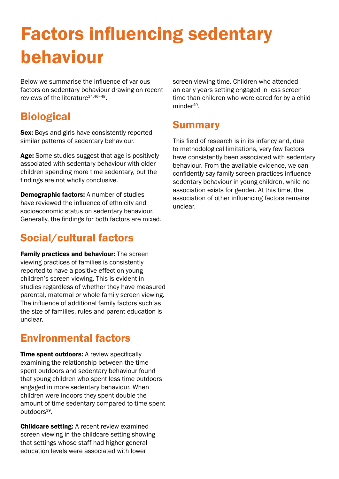## Factors influencing sedentary behaviour

Below we summarise the influence of various factors on sedentary behaviour drawing on recent reviews of the literature<sup>34,46-48</sup>.

### **Biological**

Sex: Boys and girls have consistently reported similar patterns of sedentary behaviour.

Age: Some studies suggest that age is positively associated with sedentary behaviour with older children spending more time sedentary, but the findings are not wholly conclusive.

**Demographic factors:** A number of studies have reviewed the influence of ethnicity and socioeconomic status on sedentary behaviour. Generally, the findings for both factors are mixed.

### Social/cultural factors

**Family practices and behaviour:** The screen viewing practices of families is consistently reported to have a positive effect on young children's screen viewing. This is evident in studies regardless of whether they have measured parental, maternal or whole family screen viewing. The influence of additional family factors such as the size of families, rules and parent education is unclear.

#### Environmental factors

**Time spent outdoors:** A review specifically examining the relationship between the time spent outdoors and sedentary behaviour found that young children who spent less time outdoors engaged in more sedentary behaviour. When children were indoors they spent double the amount of time sedentary compared to time spent outdoors<sup>39</sup>.

Childcare setting: A recent review examined screen viewing in the childcare setting showing that settings whose staff had higher general education levels were associated with lower

screen viewing time. Children who attended an early years setting engaged in less screen time than children who were cared for by a child minder49.

#### Summary

This field of research is in its infancy and, due to methodological limitations, very few factors have consistently been associated with sedentary behaviour. From the available evidence, we can confidently say family screen practices influence sedentary behaviour in young children, while no association exists for gender. At this time, the association of other influencing factors remains unclear.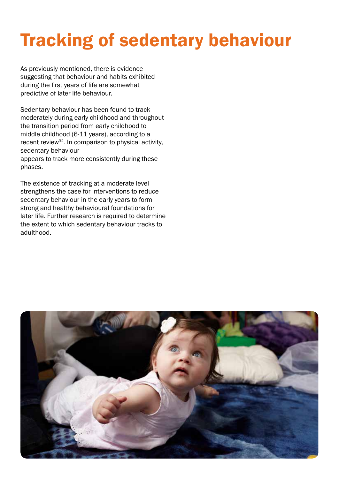## Tracking of sedentary behaviour

As previously mentioned, there is evidence suggesting that behaviour and habits exhibited during the first years of life are somewhat predictive of later life behaviour.

Sedentary behaviour has been found to track moderately during early childhood and throughout the transition period from early childhood to middle childhood (6-11 years), according to a recent review<sup>32</sup>. In comparison to physical activity, sedentary behaviour appears to track more consistently during these phases.

The existence of tracking at a moderate level strengthens the case for interventions to reduce sedentary behaviour in the early years to form strong and healthy behavioural foundations for later life. Further research is required to determine the extent to which sedentary behaviour tracks to adulthood.

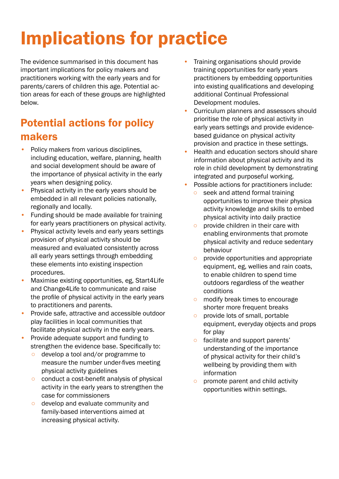# Implications for practice

The evidence summarised in this document has important implications for policy makers and practitioners working with the early years and for parents/carers of children this age. Potential action areas for each of these groups are highlighted below.

### Potential actions for policy makers

- Policy makers from various disciplines, including education, welfare, planning, health and social development should be aware of the importance of physical activity in the early years when designing policy.
- Physical activity in the early years should be embedded in all relevant policies nationally, regionally and locally.
- Funding should be made available for training for early years practitioners on physical activity.
- Physical activity levels and early years settings provision of physical activity should be measured and evaluated consistently across all early years settings through embedding these elements into existing inspection procedures.
- Maximise existing opportunities, eg, Start4Life and Change4Life to communicate and raise the profile of physical activity in the early years to practitioners and parents.
- Provide safe, attractive and accessible outdoor play facilities in local communities that facilitate physical activity in the early years.
- Provide adequate support and funding to strengthen the evidence base. Specifically to:
	- develop a tool and/or programme to measure the number under-fives meeting physical activity guidelines
	- conduct a cost-benefit analysis of physical activity in the early years to strengthen the case for commissioners
	- develop and evaluate community and family-based interventions aimed at increasing physical activity.
- Training organisations should provide training opportunities for early years practitioners by embedding opportunities into existing qualifications and developing additional Continual Professional Development modules.
- Curriculum planners and assessors should prioritise the role of physical activity in early years settings and provide evidencebased guidance on physical activity provision and practice in these settings.
- Health and education sectors should share information about physical activity and its role in child development by demonstrating integrated and purposeful working.
- Possible actions for practitioners include:
	- seek and attend formal training opportunities to improve their physica activity knowledge and skills to embed physical activity into daily practice
	- provide children in their care with enabling environments that promote physical activity and reduce sedentary behaviour
	- provide opportunities and appropriate equipment, eg, wellies and rain coats, to enable children to spend time outdoors regardless of the weather conditions
	- o modify break times to encourage shorter more frequent breaks
	- provide lots of small, portable equipment, everyday objects and props for play
	- facilitate and support parents' understanding of the importance of physical activity for their child's wellbeing by providing them with information
	- promote parent and child activity opportunities within settings.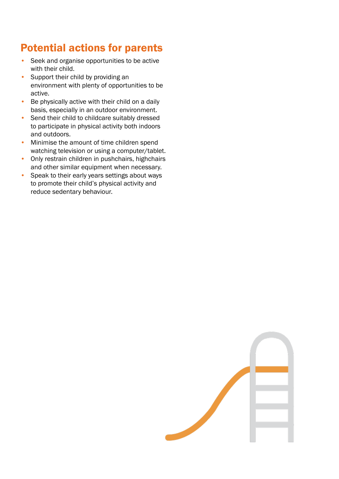#### Potential actions for parents

- Seek and organise opportunities to be active with their child.
- Support their child by providing an environment with plenty of opportunities to be active.
- Be physically active with their child on a daily basis, especially in an outdoor environment.
- Send their child to childcare suitably dressed to participate in physical activity both indoors and outdoors.
- Minimise the amount of time children spend watching television or using a computer/tablet.
- Only restrain children in pushchairs, highchairs and other similar equipment when necessary.
- Speak to their early years settings about ways to promote their child's physical activity and reduce sedentary behaviour.

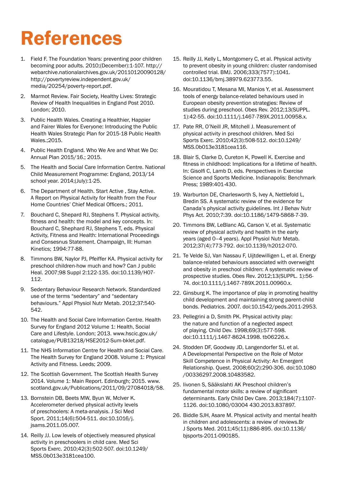## References

- 1. Field F. The Foundation Years: preventing poor children becoming poor adults. 2010;(December):1-107. http:// webarchive.nationalarchives.gov.uk/20110120090128/ http://povertyreview.independent.gov.uk/ media/20254/poverty-report.pdf.
- 2. Marmot Review. Fair Society, Healthy Lives: Strategic Review of Health Inequalities in England Post 2010. London; 2010.
- 3. Public Health Wales. Creating a Healthier, Happier and Fairer Wales for Everyone: Introducing the Public Health Wales Strategic Plan for 2015-18 Public Health Wales.;2015.
- 4. Public Health England. Who We Are and What We Do: Annual Plan 2015/16.; 2015.
- 5. The Health and Social Care Information Centre. National Child Measurement Programme: England, 2013/14 school year. 2014;(July):1-25.
- 6. The Department of Health. Start Active , Stay Active. A Report on Physical Activity for Health from the Four Home Countries' Chief Medical Officers.; 2011.
- 7. Bouchard C, Shepard RJ, Stephens T. Physical activity, fitness and health: the model and key concepts. In: Bouchard C, Shephard RJ, Stephens T, eds. Physical Activity, Fitness and Health: International Proceedings and Consesnus Statement. Champaign, Ill: Human Kinetics; 1994:77-88.
- 8. Timmons BW, Naylor PJ, Pfeiffer KA. Physical activity for preschool children-how much and how? Can J public Heal. 2007;98 Suppl 2:122-135. doi:10.1139/H07- 112.
- 9. Sedentary Behaviour Research Network. Standardized use of the terms "sedentary" and "sedentary behaviours." Appl Physiol Nutr Metab. 2012;37:540- 542.
- 10. The Health and Social Care Information Centre. Health Survey for England 2012 Volume 1: Health, Social Care and Lifestyle. London; 2013. www.hscic.gov.uk/ catalogue/PUB13218/HSE2012-Sum-bklet.pdf.
- 11. The NHS Information Centre for Health and Social Care. The Health Survey for England 2008. Volume 1: Physical Activity and Fitness. Leeds; 2009.
- 12. The Scottish Government. The Scottish Health Survey 2014. Volume 1: Main Report. Edinburgh; 2015. www. scotland.gov.uk/Publications/2011/09/27084018/58.
- 13. Bornstein DB, Beets MW, Byun W, McIver K. Accelerometer derived physical activity levels of preschoolers: A meta-analysis. J Sci Med Sport. 2011;14(6):504-511. doi:10.1016/j. jsams.2011.05.007.
- 14. Reilly JJ. Low levels of objectively measured physical activity in preschoolers in child care. Med Sci Sports Exerc. 2010;42(3):502-507. doi:10.1249/ MSS.0b013e3181cea100.
- 15. Reilly JJ, Kelly L, Montgomery C, et al. Physical activity to prevent obesity in young children: cluster randomised controlled trial. BMJ. 2006;333(7577):1041. doi:10.1136/bmj.38979.623773.55.
- 16. Mouratidou T, Mesana MI, Manios Y, et al. Assessment tools of energy balance-related behaviours used in European obesity prevention strategies: Review of studies during preschool. Obes Rev. 2012;13(SUPPL. 1):42-55. doi:10.1111/j.1467-789X.2011.00958.x.
- 17. Pate RR, O'Neill JR, Mitchell J. Measurement of physical activity in preschool children. Med Sci Sports Exerc. 2010;42(3):508-512. doi:10.1249/ MSS.0b013e3181cea116.
- 18. Blair S, Clarke D, Cureton K, Powell K. Exercise and fitness in childhood: Implications for a lifetime of health. In: Gisolfi C, Lamb D, eds. Perspectives in Exercise Science and Sports Medicine. Indianapolis: Benchmark Press; 1989:401-430.
- 19. Warburton DE, Charlesworth S, Ivey A, Nettlefold L, Bredin SS. A systematic review of the evidence for Canada's physical activity guidelines. Int J Behav Nutr Phys Act. 2010;7:39. doi:10.1186/1479-5868-7-39.
- 20. Timmons BW, LeBlanc AG, Carson V, et al. Systematic review of physical activity and health in the early years (aged 0–4 years). Appl Physiol Nutr Metab. 2012;37(4):773-792. doi:10.1139/h2012-070.
- 21. Te Velde SJ, Van Nassau F, Uijtdewilligen L, et al. Energy balance-related behaviours associated with overweight and obesity in preschool children: A systematic review of prospective studies. Obes Rev. 2012;13(SUPPL. 1):56- 74. doi:10.1111/j.1467-789X.2011.00960.x.
- 22. Ginsburg K. The importance of play in promoting healthy child development and maintaining strong parent-child bonds. Pediatrics. 2007. doi:10.1542/peds.2011-2953.
- 23. Pellegrini a D, Smith PK. Physical activity play: the nature and function of a neglected aspect of playing. Child Dev. 1998;69(3):577-598. doi:10.1111/j.1467-8624.1998. tb06226.x.
- 24. Stodden DF, Goodway JD, Langendorfer SJ, et al. A Developmental Perspective on the Role of Motor Skill Competence in Physical Activity: An Emergent Relationship. Quest. 2008;60(2):290-306. doi:10.1080 /00336297.2008.10483582.
- 25. Iivonen S, Sääkslahti AK Preschool children's fundamental motor skills: a review of significant determinants. Early Child Dev Care. 2013;184(7):1107- 1126. doi:10.1080/03004 430.2013.837897.
- 26. Biddle SJH, Asare M. Physical activity and mental health in children and adolescents: a review of reviews.Br J Sports Med. 2011;45(11):886-895. doi:10.1136/ bjsports-2011-090185.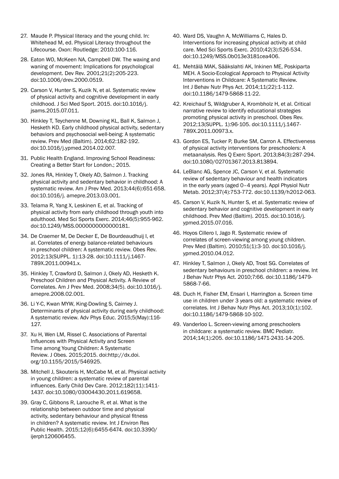- 27. Maude P. Physical literacy and the young child. In: Whitehead M, ed. Physical Literacy throughout the Lifecourse. Oxon: Routledge; 2010:100-116.
- 28. Eaton WO, McKeen NA, Campbell DW. The waxing and waning of movement: Implications for psychological development. Dev Rev. 2001;21(2):205-223. doi:10.1006/drev.2000.0519.
- 29. Carson V, Hunter S, Kuzik N, et al. Systematic review of physical activity and cognitive development in early childhood. J Sci Med Sport. 2015. doi:10.1016/j. jsams.2015.07.011.
- 30. Hinkley T, Teychenne M, Downing KL, Ball K, Salmon J, Hesketh KD. Early childhood physical activity, sedentary behaviors and psychosocial well-being: A systematic review. Prev Med (Baltim). 2014;62:182-192. doi:10.1016/j.ypmed.2014.02.007.
- 31. Public Health England. Improving School Readiness: Creating a Better Start for London.; 2015.
- 32. Jones RA, Hinkley T, Okely AD, Salmon J. Tracking physical activity and sedentary behavior in childhood: A systematic review. Am J Prev Med. 2013;44(6):651-658. doi:10.1016/j. amepre.2013.03.001.
- 33. Telama R, Yang X, Leskinen E, et al. Tracking of physical activity from early childhood through youth into adulthood. Med Sci Sports Exerc. 2014;46(5):955-962. doi:10.1249/MSS.0000000000000181.
- 34. De Craemer M, De Decker E, De Bourdeaudhuij I, et al. Correlates of energy balance-related behaviours in preschool children: A systematic review. Obes Rev. 2012;13(SUPPL. 1):13-28. doi:10.1111/j.1467- 789X.2011.00941.x.
- 35. Hinkley T, Crawford D, Salmon J, Okely AD, Hesketh K. Preschool Children and Physical Activity. A Review of Correlates. Am J Prev Med. 2008;34(5). doi:10.1016/j. amepre.2008.02.001.
- 36. Li Y-C, Kwan MYW, King-Dowling S, Cairney J. Determinants of physical activity during early childhood: A systematic review. Adv Phys Educ. 2015;5(May):116- 127.
- 37. Xu H, Wen LM, Rissel C. Associations of Parental Influences with Physical Activity and Screen Time among Young Children: A Systematic Review. J Obes. 2015;2015. doi:http://dx.doi. org/10.1155/2015/546925.
- 38. Mitchell J, Skouteris H, McCabe M, et al. Physical activity in young children: a systematic review of parental influences. Early Child Dev Care. 2012;182(11):1411- 1437. doi:10.1080/03004430.2011.619658.
- 39. Gray C, Gibbons R, Larouche R, et al. What is the relationship between outdoor time and physical activity, sedentary behaviour and physical fitness in children? A systematic review. Int J Environ Res Public Health. 2015;12(6):6455-6474. doi:10.3390/ ijerph120606455.
- 40. Ward DS, Vaughn A, McWilliams C, Hales D. Interventions for increasing physical activity at child care. Med Sci Sports Exerc. 2010;42(3):526-534. doi:10.1249/MSS.0b013e3181cea406.
- 41. Mehtälä MAK, Sääkslahti AK, Inkinen ME, Poskiparta MEH. A Socio-Ecological Approach to Physical Activity Interventions in Childcare: A Systematic Review. Int J Behav Nutr Phys Act. 2014;11(22):1-112. doi:10.1186/1479-5868-11-22.
- 42. Kreichauf S, Wildgruber A, Krombholz H, et al. Critical narrative review to identify educational strategies promoting physical activity in preschool. Obes Rev. 2012;13(SUPPL. 1):96-105. doi:10.1111/j.1467- 789X.2011.00973.x.
- 43. Gordon ES, Tucker P, Burke SM, Carron A. Effectiveness of physical activity interventions for preschoolers: A metaanalysis. Res Q Exerc Sport. 2013;84(3):287-294. doi:10.1080/02701367.2013.813894.
- 44. LeBlanc AG, Spence JC, Carson V, et al. Systematic review of sedentary behaviour and health indicators in the early years (aged 0–4 years). Appl Physiol Nutr Metab. 2012;37(4):753-772. doi:10.1139/h2012-063.
- 45. Carson V, Kuzik N, Hunter S, et al. Systematic review of sedentary behavior and cognitive development in early childhood. Prev Med (Baltim). 2015. doi:10.1016/j. ypmed.2015.07.016.
- 46. Hoyos Cillero I, Jago R. Systematic review of correlates of screen-viewing among young children. Prev Med (Baltim). 2010;51(1):3-10. doi:10.1016/j. ypmed.2010.04.012.
- 47. Hinkley T, Salmon J, Okely AD, Trost SG. Correlates of sedentary behaviours in preschool children: a review. Int J Behav Nutr Phys Act. 2010;7:66. doi:10.1186/1479- 5868-7-66.
- 48. Duch H, Fisher EM, Ensari I, Harrington a. Screen time use in children under 3 years old: a systematic review of correlates. Int J Behav Nutr Phys Act. 2013;10(1):102. doi:10.1186/1479-5868-10-102.
- 49. Vanderloo L. Screen-viewing among preschoolers in childcare: a systematic review. BMC Pediatr. 2014;14(1):205. doi:10.1186/1471-2431-14-205.